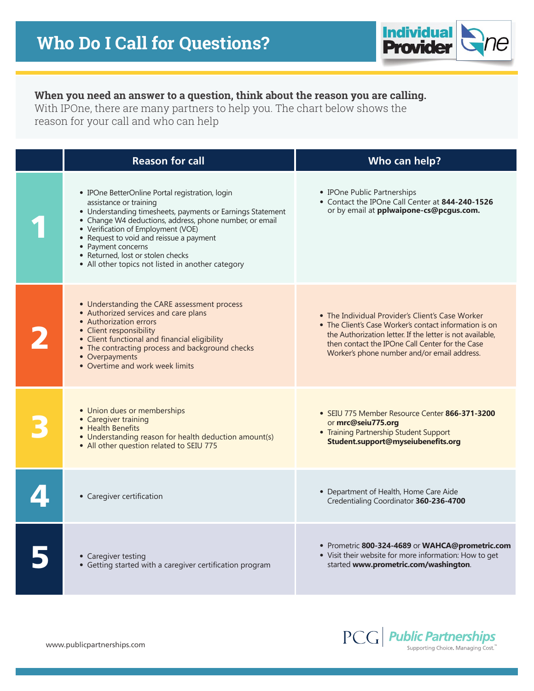

## **When you need an answer to a question, think about the reason you are calling.**

With IPOne, there are many partners to help you. The chart below shows the reason for your call and who can help

| <b>Reason for call</b>                                                                                                                                                                                                                                                                                                                                                                              | Who can help?                                                                                                                                                                                                                                                             |
|-----------------------------------------------------------------------------------------------------------------------------------------------------------------------------------------------------------------------------------------------------------------------------------------------------------------------------------------------------------------------------------------------------|---------------------------------------------------------------------------------------------------------------------------------------------------------------------------------------------------------------------------------------------------------------------------|
| • IPOne BetterOnline Portal registration, login<br>assistance or training<br>• Understanding timesheets, payments or Earnings Statement<br>• Change W4 deductions, address, phone number, or email<br>• Verification of Employment (VOE)<br>• Request to void and reissue a payment<br>• Payment concerns<br>• Returned, lost or stolen checks<br>• All other topics not listed in another category | • IPOne Public Partnerships<br>• Contact the IPOne Call Center at 844-240-1526<br>or by email at pplwaipone-cs@pcgus.com.                                                                                                                                                 |
| • Understanding the CARE assessment process<br>• Authorized services and care plans<br>• Authorization errors<br>• Client responsibility<br>· Client functional and financial eligibility<br>• The contracting process and background checks<br>• Overpayments<br>• Overtime and work week limits                                                                                                   | • The Individual Provider's Client's Case Worker<br>• The Client's Case Worker's contact information is on<br>the Authorization letter. If the letter is not available,<br>then contact the IPOne Call Center for the Case<br>Worker's phone number and/or email address. |
| • Union dues or memberships<br>• Caregiver training<br>• Health Benefits<br>• Understanding reason for health deduction amount(s)<br>• All other question related to SEIU 775                                                                                                                                                                                                                       | • SEIU 775 Member Resource Center 866-371-3200<br>or mrc@seiu775.org<br>• Training Partnership Student Support<br>Student.support@myseiubenefits.org                                                                                                                      |
| • Caregiver certification                                                                                                                                                                                                                                                                                                                                                                           | • Department of Health, Home Care Aide<br>Credentialing Coordinator 360-236-4700                                                                                                                                                                                          |
| • Caregiver testing<br>• Getting started with a caregiver certification program                                                                                                                                                                                                                                                                                                                     | • Prometric 800-324-4689 or WAHCA@prometric.com<br>• Visit their website for more information: How to get<br>started www.prometric.com/washington.                                                                                                                        |